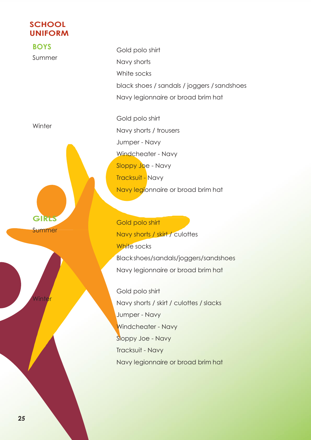## **SCHOOL UNIFORM**

**BOYS** Summer **Winter GIRLS** Summer Winte $\,$ Gold polo shirt Navy shorts White socks black shoes / sandals / joggers / sandshoes Navy legionnaire or broad brim hat Gold polo shirt Navy shorts / trousers Jumper - Navy Windcheater - Navy Sloppy Joe - Navy Tracksuit - Navy Navy legionnaire or broad brim hat Gold polo shirt Navy shorts / skirt / culottes White socks Black shoes/sandals/joggers/sandshoes Navy legionnaire or broad brim hat Gold polo shirt Navy shorts / skirt / culottes / slacks Jumper - Navy

Windcheater - Navy

Navy legionnaire or broad brim hat

Sloppy Joe - Navy

Tracksuit - Navy

**2***5*